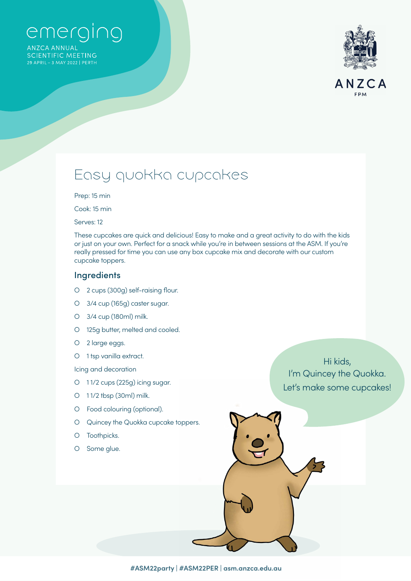# emerging

**ANZCA ANNUAL SCIENTIFIC MEETING** 



### Easy quokka cupcakes

Prep: 15 min

Cook: 15 min

Serves: 12

These cupcakes are quick and delicious! Easy to make and a great activity to do with the kids or just on your own. Perfect for a snack while you're in between sessions at the ASM. If you're really pressed for time you can use any box cupcake mix and decorate with our custom cupcake toppers.

#### **Ingredients**

- О 2 cups (300g) self-raising flour.
- О 3/4 cup (165g) caster sugar.
- О 3/4 cup (180ml) milk.
- О 125g butter, melted and cooled.
- О 2 large eggs.
- O 1 tsp vanilla extract.

Icing and decoration

- O 11/2 cups (225g) icing sugar.
- О 1 1/2 tbsp (30ml) milk.
- О Food colouring (optional).
- О Quincey the Quokka cupcake toppers.
- О Toothpicks.
- О Some glue.

Hi kids, I'm Quincey the Quokka. Let's make some cupcakes!

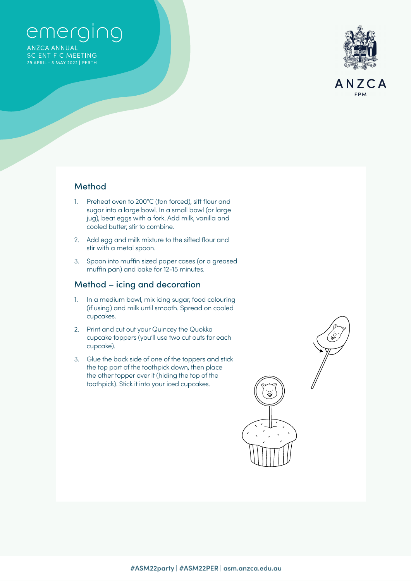# emerging

**ANZCA ANNUAL SCIENTIFIC MEETING** 



#### Method

- 1. Preheat oven to 200°C (fan forced), sift flour and sugar into a large bowl. In a small bowl (or large jug), beat eggs with a fork. Add milk, vanilla and cooled butter, stir to combine.
- 2. Add egg and milk mixture to the sifted flour and stir with a metal spoon.
- 3. Spoon into muffin sized paper cases (or a greased muffin pan) and bake for 12-15 minutes.

### Method – icing and decoration

- 1. In a medium bowl, mix icing sugar, food colouring (if using) and milk until smooth. Spread on cooled cupcakes.
- 2. Print and cut out your Quincey the Quokka cupcake toppers (you'll use two cut outs for each cupcake).
- 3. Glue the back side of one of the toppers and stick the top part of the toothpick down, then place the other topper over it (hiding the top of the toothpick). Stick it into your iced cupcakes.